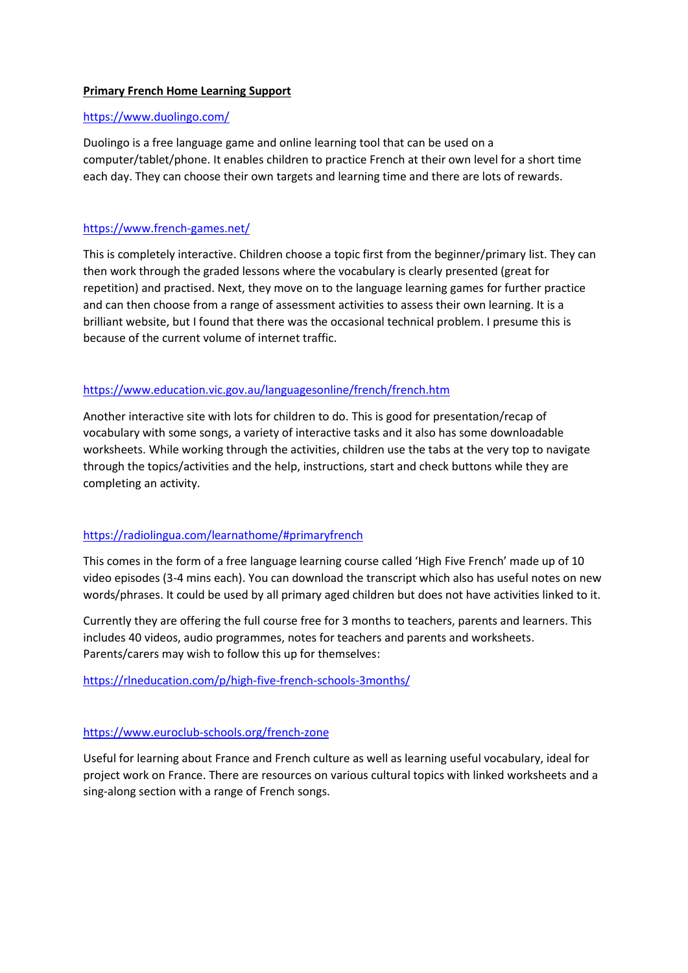## **Primary French Home Learning Support**

## <https://www.duolingo.com/>

Duolingo is a free language game and online learning tool that can be used on a computer/tablet/phone. It enables children to practice French at their own level for a short time each day. They can choose their own targets and learning time and there are lots of rewards.

#### <https://www.french-games.net/>

This is completely interactive. Children choose a topic first from the beginner/primary list. They can then work through the graded lessons where the vocabulary is clearly presented (great for repetition) and practised. Next, they move on to the language learning games for further practice and can then choose from a range of assessment activities to assess their own learning. It is a brilliant website, but I found that there was the occasional technical problem. I presume this is because of the current volume of internet traffic.

## <https://www.education.vic.gov.au/languagesonline/french/french.htm>

Another interactive site with lots for children to do. This is good for presentation/recap of vocabulary with some songs, a variety of interactive tasks and it also has some downloadable worksheets. While working through the activities, children use the tabs at the very top to navigate through the topics/activities and the help, instructions, start and check buttons while they are completing an activity.

## <https://radiolingua.com/learnathome/#primaryfrench>

This comes in the form of a free language learning course called 'High Five French' made up of 10 video episodes (3-4 mins each). You can download the transcript which also has useful notes on new words/phrases. It could be used by all primary aged children but does not have activities linked to it.

Currently they are offering the full course free for 3 months to teachers, parents and learners. This includes 40 videos, audio programmes, notes for teachers and parents and worksheets. Parents/carers may wish to follow this up for themselves:

<https://rlneducation.com/p/high-five-french-schools-3months/>

#### <https://www.euroclub-schools.org/french-zone>

Useful for learning about France and French culture as well as learning useful vocabulary, ideal for project work on France. There are resources on various cultural topics with linked worksheets and a sing-along section with a range of French songs.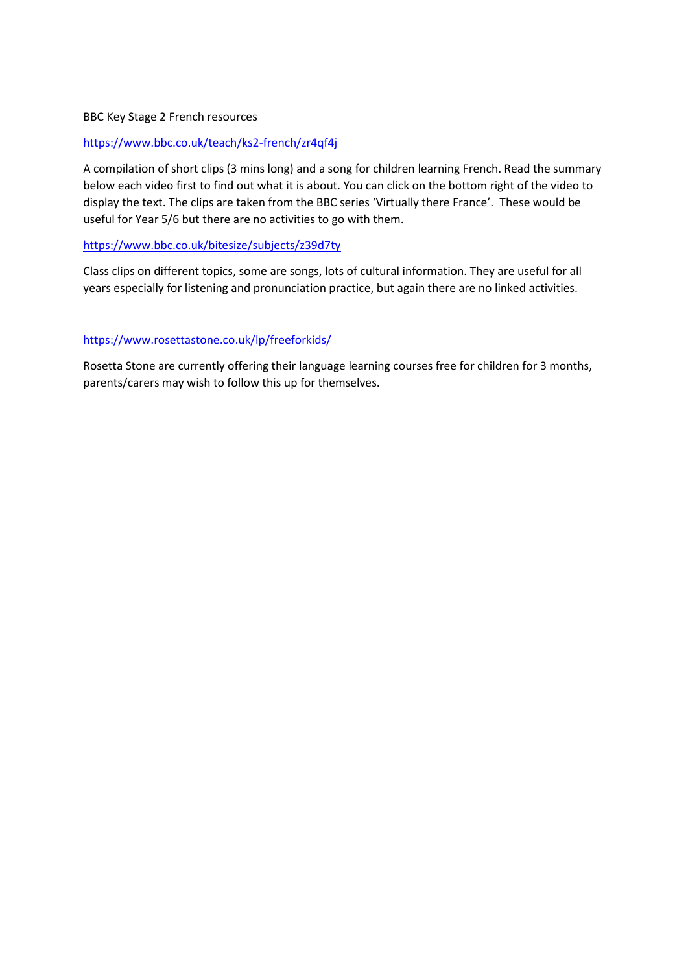## BBC Key Stage 2 French resources

## <https://www.bbc.co.uk/teach/ks2-french/zr4qf4j>

A compilation of short clips (3 mins long) and a song for children learning French. Read the summary below each video first to find out what it is about. You can click on the bottom right of the video to display the text. The clips are taken from the BBC series 'Virtually there France'. These would be useful for Year 5/6 but there are no activities to go with them.

# <https://www.bbc.co.uk/bitesize/subjects/z39d7ty>

Class clips on different topics, some are songs, lots of cultural information. They are useful for all years especially for listening and pronunciation practice, but again there are no linked activities.

# <https://www.rosettastone.co.uk/lp/freeforkids/>

Rosetta Stone are currently offering their language learning courses free for children for 3 months, parents/carers may wish to follow this up for themselves.